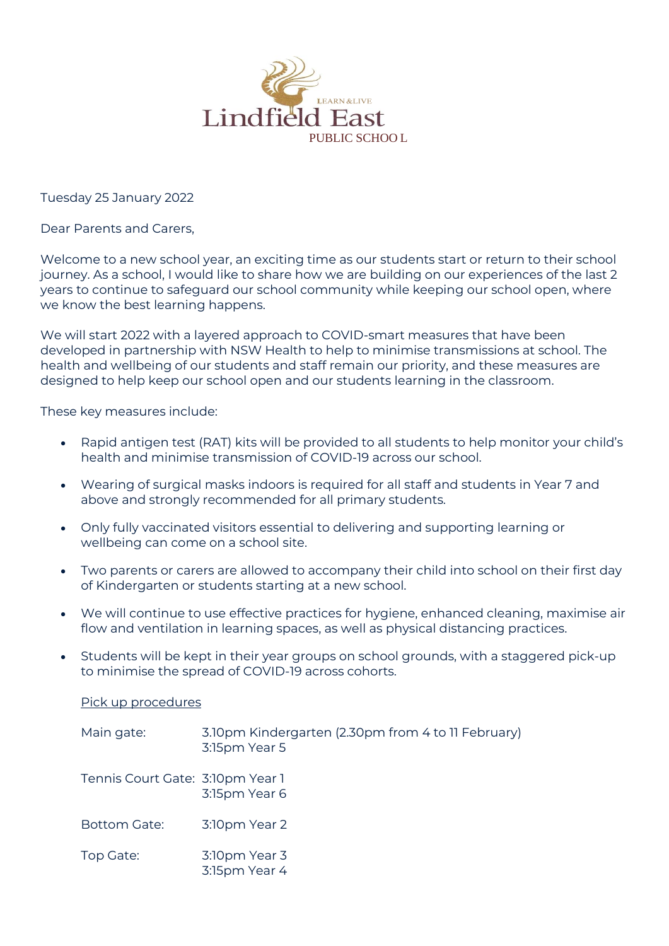

Tuesday 25 January 2022

Dear Parents and Carers,

Welcome to a new school year, an exciting time as our students start or return to their school journey. As a school, I would like to share how we are building on our experiences of the last 2 years to continue to safeguard our school community while keeping our school open, where we know the best learning happens.

We will start 2022 with a layered approach to COVID-smart measures that have been developed in partnership with NSW Health to help to minimise transmissions at school. The health and wellbeing of our students and staff remain our priority, and these measures are designed to help keep our school open and our students learning in the classroom.

These key measures include:

- Rapid antigen test (RAT) kits will be provided to all students to help monitor your child's health and minimise transmission of COVID-19 across our school.
- Wearing of surgical masks indoors is required for all staff and students in Year 7 and above and strongly recommended for all primary students.
- Only fully vaccinated visitors essential to delivering and supporting learning or wellbeing can come on a school site.
- Two parents or carers are allowed to accompany their child into school on their first day of Kindergarten or students starting at a new school.
- We will continue to use effective practices for hygiene, enhanced cleaning, maximise air flow and ventilation in learning spaces, as well as physical distancing practices.
- Students will be kept in their year groups on school grounds, with a staggered pick-up to minimise the spread of COVID-19 across cohorts.

Pick up procedures

| Main gate:                       | 3.10pm Kindergarten (2.30pm from 4 to 11 February)<br>3:15pm Year 5 |
|----------------------------------|---------------------------------------------------------------------|
| Tennis Court Gate: 3:10pm Year 1 | 3:15pm Year 6                                                       |
| Bottom Gate:                     | 3:10pm Year 2                                                       |
| Top Gate:                        | 3:10pm Year 3<br>3:15pm Year 4                                      |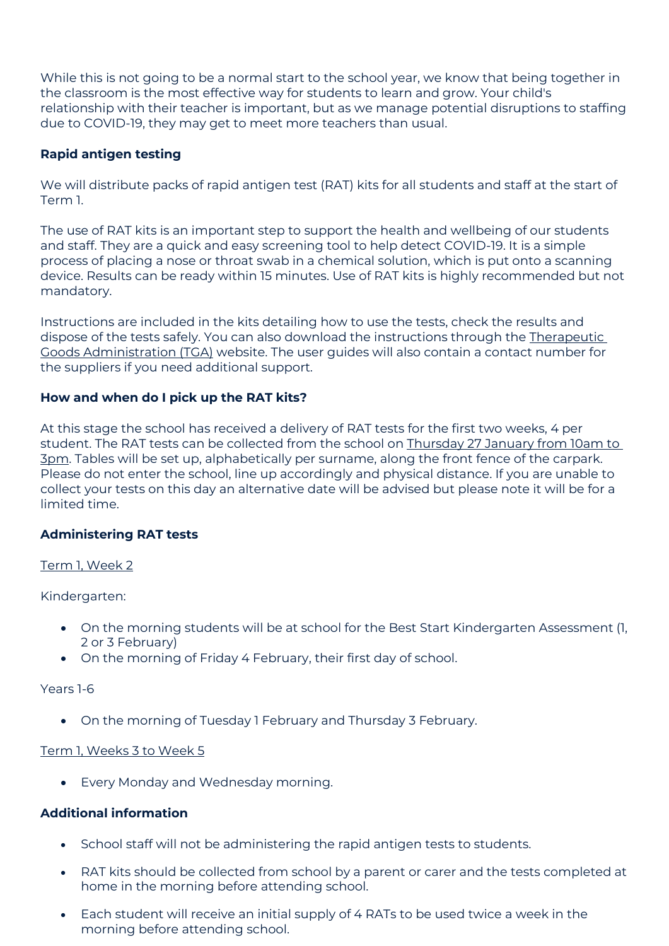While this is not going to be a normal start to the school year, we know that being together in the classroom is the most effective way for students to learn and grow. Your child's relationship with their teacher is important, but as we manage potential disruptions to staffing due to COVID-19, they may get to meet more teachers than usual.

# **Rapid antigen testing**

We will distribute packs of rapid antigen test (RAT) kits for all students and staff at the start of Term 1.

The use of RAT kits is an important step to support the health and wellbeing of our students and staff. They are a quick and easy screening tool to help detect COVID-19. It is a simple process of placing a nose or throat swab in a chemical solution, which is put onto a scanning device. Results can be ready within 15 minutes. Use of RAT kits is highly recommended but not mandatory.

Instructions are included in the kits detailing how to use the tests, check the results and dispose of the tests safely. You can also download the instructions through the [Therapeutic](https://www.tga.gov.au/covid-19-rapid-antigen-self-tests-are-approved-australia)  [Goods Administration \(TGA\)](https://www.tga.gov.au/covid-19-rapid-antigen-self-tests-are-approved-australia) website. The user guides will also contain a contact number for the suppliers if you need additional support.

# **How and when do I pick up the RAT kits?**

At this stage the school has received a delivery of RAT tests for the first two weeks, 4 per student. The RAT tests can be collected from the school on Thursday 27 January from 10am to 3pm. Tables will be set up, alphabetically per surname, along the front fence of the carpark. Please do not enter the school, line up accordingly and physical distance. If you are unable to collect your tests on this day an alternative date will be advised but please note it will be for a limited time.

## **Administering RAT tests**

## Term 1, Week 2

Kindergarten:

- On the morning students will be at school for the Best Start Kindergarten Assessment (1, 2 or 3 February)
- On the morning of Friday 4 February, their first day of school.

Years 1-6

• On the morning of Tuesday 1 February and Thursday 3 February.

### Term 1, Weeks 3 to Week 5

• Every Monday and Wednesday morning.

## **Additional information**

- School staff will not be administering the rapid antigen tests to students.
- RAT kits should be collected from school by a parent or carer and the tests completed at home in the morning before attending school.
- Each student will receive an initial supply of 4 RATs to be used twice a week in the morning before attending school.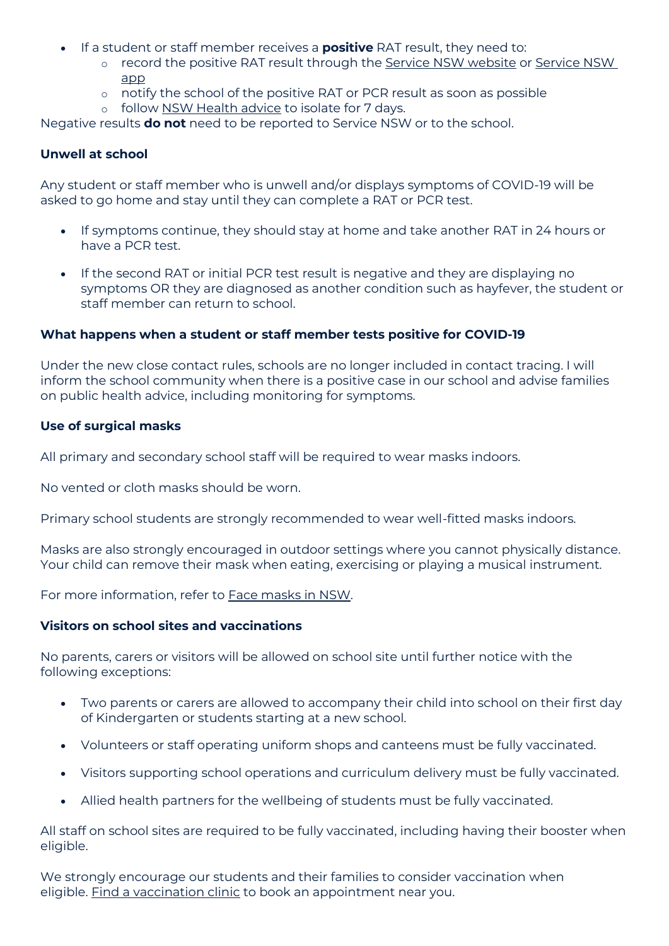- If a student or staff member receives a **positive** RAT result, they need to:
	- o record the positive RAT result through the [Service NSW website](https://www.nsw.gov.au/covid-19/stay-safe/testing/register-positive-rat-test-result) or [Service NSW](https://www.service.nsw.gov.au/campaign/service-nsw-mobile-app)  [app](https://www.service.nsw.gov.au/campaign/service-nsw-mobile-app)
	- o notify the school of the positive RAT or PCR result as soon as possible
	- o follow [NSW Health advice](https://www.health.nsw.gov.au/Infectious/covid-19/Pages/self-isolation-and-testing.aspx) to isolate for 7 days.

Negative results **do not** need to be reported to Service NSW or to the school.

### **Unwell at school**

Any student or staff member who is unwell and/or displays symptoms of COVID-19 will be asked to go home and stay until they can complete a RAT or PCR test.

- If symptoms continue, they should stay at home and take another RAT in 24 hours or have a PCR test.
- If the second RAT or initial PCR test result is negative and they are displaying no symptoms OR they are diagnosed as another condition such as hayfever, the student or staff member can return to school.

### **What happens when a student or staff member tests positive for COVID-19**

Under the new close contact rules, schools are no longer included in contact tracing. I will inform the school community when there is a positive case in our school and advise families on public health advice, including monitoring for symptoms.

### **Use of surgical masks**

All primary and secondary school staff will be required to wear masks indoors.

No vented or cloth masks should be worn.

Primary school students are strongly recommended to wear well-fitted masks indoors.

Masks are also strongly encouraged in outdoor settings where you cannot physically distance. Your child can remove their mask when eating, exercising or playing a musical instrument.

For more information, refer to [Face masks in NSW.](https://www.nsw.gov.au/covid-19/stay-safe/face-masks)

### **Visitors on school sites and vaccinations**

No parents, carers or visitors will be allowed on school site until further notice with the following exceptions:

- Two parents or carers are allowed to accompany their child into school on their first day of Kindergarten or students starting at a new school.
- Volunteers or staff operating uniform shops and canteens must be fully vaccinated.
- Visitors supporting school operations and curriculum delivery must be fully vaccinated.
- Allied health partners for the wellbeing of students must be fully vaccinated.

All staff on school sites are required to be fully vaccinated, including having their booster when eligible.

We strongly encourage our students and their families to consider vaccination when eligible. [Find a vaccination clinic](https://covid-vaccine.healthdirect.gov.au/booking/) to book an appointment near you.